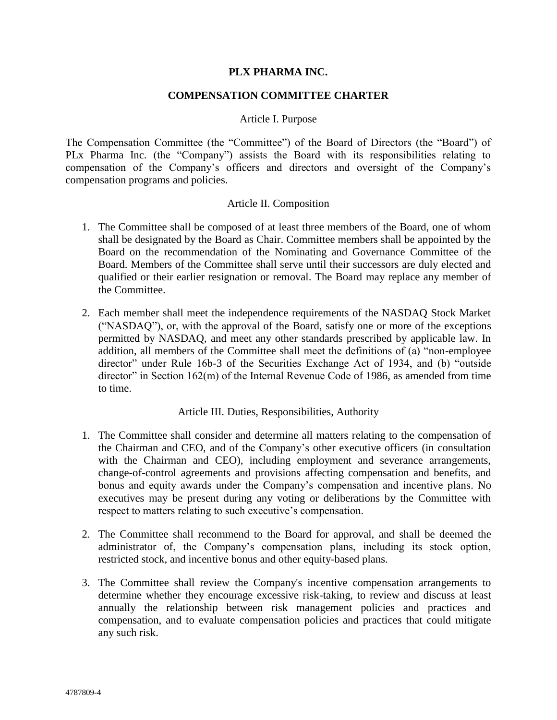## **PLX PHARMA INC.**

## **COMPENSATION COMMITTEE CHARTER**

### Article I. Purpose

The Compensation Committee (the "Committee") of the Board of Directors (the "Board") of PLx Pharma Inc. (the "Company") assists the Board with its responsibilities relating to compensation of the Company's officers and directors and oversight of the Company's compensation programs and policies.

## Article II. Composition

- 1. The Committee shall be composed of at least three members of the Board, one of whom shall be designated by the Board as Chair. Committee members shall be appointed by the Board on the recommendation of the Nominating and Governance Committee of the Board. Members of the Committee shall serve until their successors are duly elected and qualified or their earlier resignation or removal. The Board may replace any member of the Committee.
- 2. Each member shall meet the independence requirements of the NASDAQ Stock Market ("NASDAQ"), or, with the approval of the Board, satisfy one or more of the exceptions permitted by NASDAQ, and meet any other standards prescribed by applicable law. In addition, all members of the Committee shall meet the definitions of (a) "non-employee director" under Rule 16b-3 of the Securities Exchange Act of 1934, and (b) "outside director" in Section  $162(m)$  of the Internal Revenue Code of 1986, as amended from time to time.

### Article III. Duties, Responsibilities, Authority

- 1. The Committee shall consider and determine all matters relating to the compensation of the Chairman and CEO, and of the Company's other executive officers (in consultation with the Chairman and CEO), including employment and severance arrangements, change-of-control agreements and provisions affecting compensation and benefits, and bonus and equity awards under the Company's compensation and incentive plans. No executives may be present during any voting or deliberations by the Committee with respect to matters relating to such executive's compensation.
- 2. The Committee shall recommend to the Board for approval, and shall be deemed the administrator of, the Company's compensation plans, including its stock option, restricted stock, and incentive bonus and other equity-based plans.
- 3. The Committee shall review the Company's incentive compensation arrangements to determine whether they encourage excessive risk-taking, to review and discuss at least annually the relationship between risk management policies and practices and compensation, and to evaluate compensation policies and practices that could mitigate any such risk.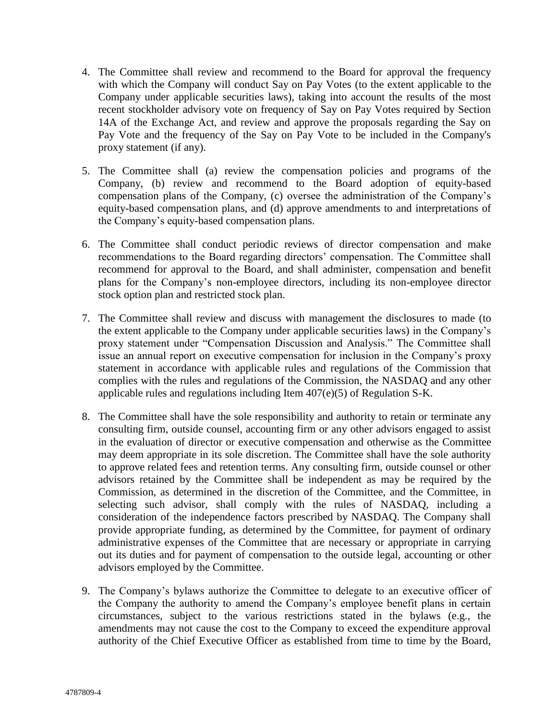- 4. The Committee shall review and recommend to the Board for approval the frequency with which the Company will conduct Say on Pay Votes (to the extent applicable to the Company under applicable securities laws), taking into account the results of the most recent stockholder advisory vote on frequency of Say on Pay Votes required by Section 14A of the Exchange Act, and review and approve the proposals regarding the Say on Pay Vote and the frequency of the Say on Pay Vote to be included in the Company's proxy statement (if any).
- 5. The Committee shall (a) review the compensation policies and programs of the Company, (b) review and recommend to the Board adoption of equity-based compensation plans of the Company, (c) oversee the administration of the Company's equity-based compensation plans, and (d) approve amendments to and interpretations of the Company's equity-based compensation plans.
- 6. The Committee shall conduct periodic reviews of director compensation and make recommendations to the Board regarding directors' compensation. The Committee shall recommend for approval to the Board, and shall administer, compensation and benefit plans for the Company's non-employee directors, including its non-employee director stock option plan and restricted stock plan.
- 7. The Committee shall review and discuss with management the disclosures to made (to the extent applicable to the Company under applicable securities laws) in the Company's proxy statement under "Compensation Discussion and Analysis." The Committee shall issue an annual report on executive compensation for inclusion in the Company's proxy statement in accordance with applicable rules and regulations of the Commission that complies with the rules and regulations of the Commission, the NASDAQ and any other applicable rules and regulations including Item 407(e)(5) of Regulation S-K.
- 8. The Committee shall have the sole responsibility and authority to retain or terminate any consulting firm, outside counsel, accounting firm or any other advisors engaged to assist in the evaluation of director or executive compensation and otherwise as the Committee may deem appropriate in its sole discretion. The Committee shall have the sole authority to approve related fees and retention terms. Any consulting firm, outside counsel or other advisors retained by the Committee shall be independent as may be required by the Commission, as determined in the discretion of the Committee, and the Committee, in selecting such advisor, shall comply with the rules of NASDAQ, including a consideration of the independence factors prescribed by NASDAQ. The Company shall provide appropriate funding, as determined by the Committee, for payment of ordinary administrative expenses of the Committee that are necessary or appropriate in carrying out its duties and for payment of compensation to the outside legal, accounting or other advisors employed by the Committee.
- 9. The Company's bylaws authorize the Committee to delegate to an executive officer of the Company the authority to amend the Company's employee benefit plans in certain circumstances, subject to the various restrictions stated in the bylaws (e.g., the amendments may not cause the cost to the Company to exceed the expenditure approval authority of the Chief Executive Officer as established from time to time by the Board,